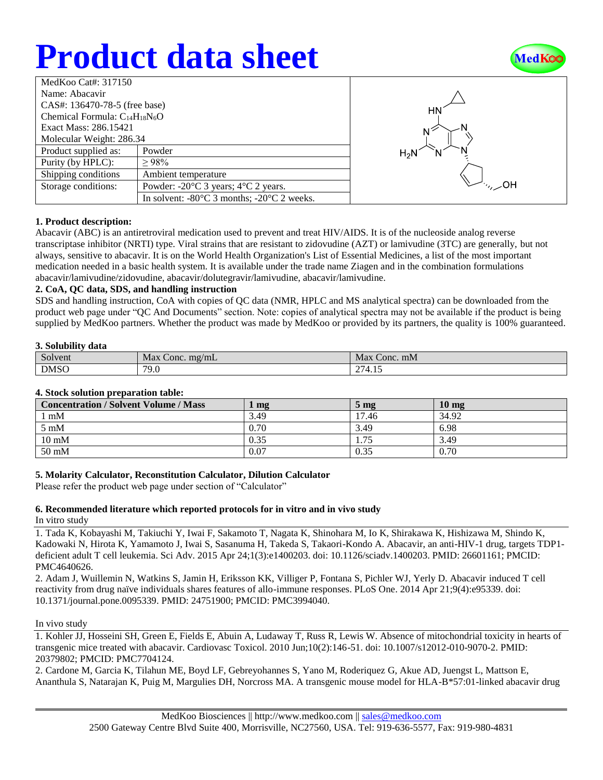# **Product data sheet**



| MedKoo Cat#: 317150                  |                                                                |  |  |  |
|--------------------------------------|----------------------------------------------------------------|--|--|--|
| Name: Abacavir                       |                                                                |  |  |  |
| CAS#: 136470-78-5 (free base)        |                                                                |  |  |  |
| Chemical Formula: $C_{14}H_{18}N_6O$ |                                                                |  |  |  |
| Exact Mass: 286.15421                |                                                                |  |  |  |
| Molecular Weight: 286.34             |                                                                |  |  |  |
| Product supplied as:                 | Powder                                                         |  |  |  |
| Purity (by HPLC):                    | $\geq 98\%$                                                    |  |  |  |
| Shipping conditions                  | Ambient temperature                                            |  |  |  |
| Storage conditions:                  | Powder: - $20^{\circ}$ C 3 years; $4^{\circ}$ C 2 years.       |  |  |  |
|                                      | In solvent: $-80^{\circ}$ C 3 months; $-20^{\circ}$ C 2 weeks. |  |  |  |



## **1. Product description:**

Abacavir (ABC) is an antiretroviral medication used to prevent and treat HIV/AIDS. It is of the nucleoside analog reverse transcriptase inhibitor (NRTI) type. Viral strains that are resistant to zidovudine (AZT) or lamivudine (3TC) are generally, but not always, sensitive to abacavir. It is on the World Health Organization's List of Essential Medicines, a list of the most important medication needed in a basic health system. It is available under the trade name Ziagen and in the combination formulations abacavir/lamivudine/zidovudine, abacavir/dolutegravir/lamivudine, abacavir/lamivudine.

## **2. CoA, QC data, SDS, and handling instruction**

SDS and handling instruction, CoA with copies of QC data (NMR, HPLC and MS analytical spectra) can be downloaded from the product web page under "QC And Documents" section. Note: copies of analytical spectra may not be available if the product is being supplied by MedKoo partners. Whether the product was made by MedKoo or provided by its partners, the quality is 100% guaranteed.

## **3. Solubility data**

| $\sim$<br>Solvent | Max<br>mg/mL<br>Conc. | Max<br>Conc. mM                                  |
|-------------------|-----------------------|--------------------------------------------------|
| <b>DMSO</b>       | 79.0                  | $\sim$ $\sim$ $\sim$<br>-1.5<br>14.1<br>$\sim$ 1 |

## **4. Stock solution preparation table:**

| <b>Concentration / Solvent Volume / Mass</b> | mg   | $5 \text{ mg}$ | 10 <sub>mg</sub> |
|----------------------------------------------|------|----------------|------------------|
| $1 \text{ mM}$                               | 3.49 | 17.46          | 34.92            |
| $5~\mathrm{mM}$                              | 0.70 | 3.49           | 6.98             |
| $10 \text{ mM}$                              | 0.35 | 1.75           | 3.49             |
| 50 mM                                        | 0.07 | 0.35           | 0.70             |

## **5. Molarity Calculator, Reconstitution Calculator, Dilution Calculator**

Please refer the product web page under section of "Calculator"

## **6. Recommended literature which reported protocols for in vitro and in vivo study**

In vitro study

1. Tada K, Kobayashi M, Takiuchi Y, Iwai F, Sakamoto T, Nagata K, Shinohara M, Io K, Shirakawa K, Hishizawa M, Shindo K, Kadowaki N, Hirota K, Yamamoto J, Iwai S, Sasanuma H, Takeda S, Takaori-Kondo A. Abacavir, an anti-HIV-1 drug, targets TDP1 deficient adult T cell leukemia. Sci Adv. 2015 Apr 24;1(3):e1400203. doi: 10.1126/sciadv.1400203. PMID: 26601161; PMCID: PMC4640626.

2. Adam J, Wuillemin N, Watkins S, Jamin H, Eriksson KK, Villiger P, Fontana S, Pichler WJ, Yerly D. Abacavir induced T cell reactivity from drug naïve individuals shares features of allo-immune responses. PLoS One. 2014 Apr 21;9(4):e95339. doi: 10.1371/journal.pone.0095339. PMID: 24751900; PMCID: PMC3994040.

In vivo study

1. Kohler JJ, Hosseini SH, Green E, Fields E, Abuin A, Ludaway T, Russ R, Lewis W. Absence of mitochondrial toxicity in hearts of transgenic mice treated with abacavir. Cardiovasc Toxicol. 2010 Jun;10(2):146-51. doi: 10.1007/s12012-010-9070-2. PMID: 20379802; PMCID: PMC7704124.

2. Cardone M, Garcia K, Tilahun ME, Boyd LF, Gebreyohannes S, Yano M, Roderiquez G, Akue AD, Juengst L, Mattson E, Ananthula S, Natarajan K, Puig M, Margulies DH, Norcross MA. A transgenic mouse model for HLA-B\*57:01-linked abacavir drug